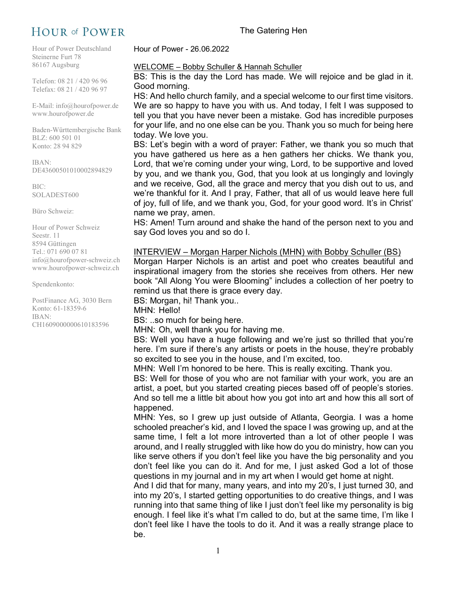# **HOUR of POWER**

Hour of Power Deutschland Steinerne Furt 78 86167 Augsburg

Telefon: 08 21 / 420 96 96 Telefax: 08 21 / 420 96 97

E-Mail: info@hourofpower.de www.hourofpower.de

Baden-Württembergische Bank BLZ: 600 501 01 Konto: 28 94 829

IBAN: DE43600501010002894829

BIC: SOLADEST600

Büro Schweiz:

Hour of Power Schweiz Seestr. 11 8594 Güttingen Tel.: 071 690 07 81 info@hourofpower-schweiz.ch www.hourofpower-schweiz.ch

Spendenkonto:

PostFinance AG, 3030 Bern Konto: 61-18359-6 IBAN: CH1609000000610183596

Hour of Power - 26.06.2022

### WELCOME – Bobby Schuller & Hannah Schuller

BS: This is the day the Lord has made. We will rejoice and be glad in it. Good morning.

HS: And hello church family, and a special welcome to our first time visitors. We are so happy to have you with us. And today, I felt I was supposed to tell you that you have never been a mistake. God has incredible purposes for your life, and no one else can be you. Thank you so much for being here today. We love you.

BS: Let's begin with a word of prayer: Father, we thank you so much that you have gathered us here as a hen gathers her chicks. We thank you, Lord, that we're coming under your wing, Lord, to be supportive and loved by you, and we thank you, God, that you look at us longingly and lovingly and we receive, God, all the grace and mercy that you dish out to us, and we're thankful for it. And I pray, Father, that all of us would leave here full of joy, full of life, and we thank you, God, for your good word. It's in Christ' name we pray, amen.

HS: Amen! Turn around and shake the hand of the person next to you and say God loves you and so do I.

# INTERVIEW – Morgan Harper Nichols (MHN) with Bobby Schuller (BS)

Morgan Harper Nichols is an artist and poet who creates beautiful and inspirational imagery from the stories she receives from others. Her new book "All Along You were Blooming" includes a collection of her poetry to remind us that there is grace every day.

BS: Morgan, hi! Thank you..

MHN: Hello!

BS: ..so much for being here.

MHN: Oh, well thank you for having me.

BS: Well you have a huge following and we're just so thrilled that you're here. I'm sure if there's any artists or poets in the house, they're probably so excited to see you in the house, and I'm excited, too.

MHN: Well I'm honored to be here. This is really exciting. Thank you.

BS: Well for those of you who are not familiar with your work, you are an artist, a poet, but you started creating pieces based off of people's stories. And so tell me a little bit about how you got into art and how this all sort of happened.

MHN: Yes, so I grew up just outside of Atlanta, Georgia. I was a home schooled preacher's kid, and I loved the space I was growing up, and at the same time, I felt a lot more introverted than a lot of other people I was around, and I really struggled with like how do you do ministry, how can you like serve others if you don't feel like you have the big personality and you don't feel like you can do it. And for me, I just asked God a lot of those questions in my journal and in my art when I would get home at night.

And I did that for many, many years, and into my 20's, I just turned 30, and into my 20's, I started getting opportunities to do creative things, and I was running into that same thing of like I just don't feel like my personality is big enough. I feel like it's what I'm called to do, but at the same time, I'm like I don't feel like I have the tools to do it. And it was a really strange place to be.

The Gatering Hen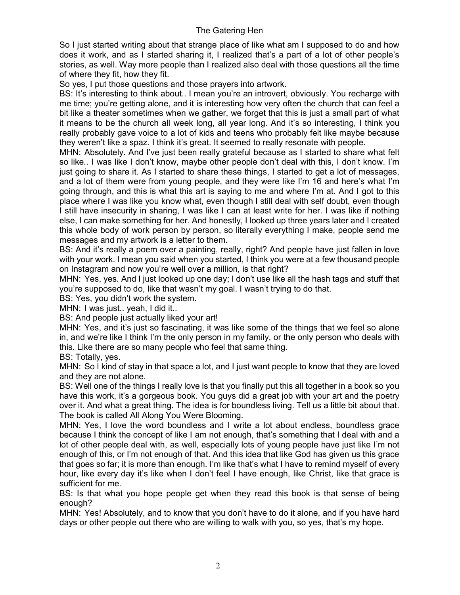So I just started writing about that strange place of like what am I supposed to do and how does it work, and as I started sharing it, I realized that's a part of a lot of other people's stories, as well. Way more people than I realized also deal with those questions all the time of where they fit, how they fit.

So yes, I put those questions and those prayers into artwork.

BS: It's interesting to think about.. I mean you're an introvert, obviously. You recharge with me time; you're getting alone, and it is interesting how very often the church that can feel a bit like a theater sometimes when we gather, we forget that this is just a small part of what it means to be the church all week long, all year long. And it's so interesting, I think you really probably gave voice to a lot of kids and teens who probably felt like maybe because they weren't like a spaz. I think it's great. It seemed to really resonate with people.

MHN: Absolutely. And I've just been really grateful because as I started to share what felt so like.. I was like I don't know, maybe other people don't deal with this, I don't know. I'm just going to share it. As I started to share these things, I started to get a lot of messages, and a lot of them were from young people, and they were like I'm 16 and here's what I'm going through, and this is what this art is saying to me and where I'm at. And I got to this place where I was like you know what, even though I still deal with self doubt, even though I still have insecurity in sharing, I was like I can at least write for her. I was like if nothing else, I can make something for her. And honestly, I looked up three years later and I created this whole body of work person by person, so literally everything I make, people send me messages and my artwork is a letter to them.

BS: And it's really a poem over a painting, really, right? And people have just fallen in love with your work. I mean you said when you started, I think you were at a few thousand people on Instagram and now you're well over a million, is that right?

MHN: Yes, yes. And I just looked up one day; I don't use like all the hash tags and stuff that you're supposed to do, like that wasn't my goal. I wasn't trying to do that.

BS: Yes, you didn't work the system.

MHN: I was just.. yeah, I did it..

BS: And people just actually liked your art!

MHN: Yes, and it's just so fascinating, it was like some of the things that we feel so alone in, and we're like I think I'm the only person in my family, or the only person who deals with this. Like there are so many people who feel that same thing.

BS: Totally, yes.

MHN: So I kind of stay in that space a lot, and I just want people to know that they are loved and they are not alone.

BS: Well one of the things I really love is that you finally put this all together in a book so you have this work, it's a gorgeous book. You guys did a great job with your art and the poetry over it. And what a great thing. The idea is for boundless living. Tell us a little bit about that. The book is called All Along You Were Blooming.

MHN: Yes, I love the word boundless and I write a lot about endless, boundless grace because I think the concept of like I am not enough, that's something that I deal with and a lot of other people deal with, as well, especially lots of young people have just like I'm not enough of this, or I'm not enough of that. And this idea that like God has given us this grace that goes so far; it is more than enough. I'm like that's what I have to remind myself of every hour, like every day it's like when I don't feel I have enough, like Christ, like that grace is sufficient for me.

BS: Is that what you hope people get when they read this book is that sense of being enough?

MHN: Yes! Absolutely, and to know that you don't have to do it alone, and if you have hard days or other people out there who are willing to walk with you, so yes, that's my hope.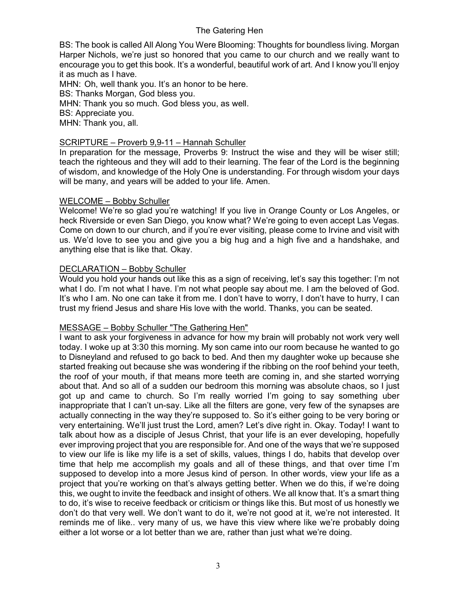BS: The book is called All Along You Were Blooming: Thoughts for boundless living. Morgan Harper Nichols, we're just so honored that you came to our church and we really want to encourage you to get this book. It's a wonderful, beautiful work of art. And I know you'll enjoy it as much as I have.

MHN: Oh, well thank you. It's an honor to be here. BS: Thanks Morgan, God bless you. MHN: Thank you so much. God bless you, as well. BS: Appreciate you. MHN: Thank you, all.

# SCRIPTURE – Proverb 9,9-11 – Hannah Schuller

In preparation for the message, Proverbs 9: Instruct the wise and they will be wiser still; teach the righteous and they will add to their learning. The fear of the Lord is the beginning of wisdom, and knowledge of the Holy One is understanding. For through wisdom your days will be many, and years will be added to your life. Amen.

# WELCOME – Bobby Schuller

Welcome! We're so glad you're watching! If you live in Orange County or Los Angeles, or heck Riverside or even San Diego, you know what? We're going to even accept Las Vegas. Come on down to our church, and if you're ever visiting, please come to Irvine and visit with us. We'd love to see you and give you a big hug and a high five and a handshake, and anything else that is like that. Okay.

# DECLARATION – Bobby Schuller

Would you hold your hands out like this as a sign of receiving, let's say this together: I'm not what I do. I'm not what I have. I'm not what people say about me. I am the beloved of God. It's who I am. No one can take it from me. I don't have to worry, I don't have to hurry, I can trust my friend Jesus and share His love with the world. Thanks, you can be seated.

# MESSAGE – Bobby Schuller "The Gathering Hen"

I want to ask your forgiveness in advance for how my brain will probably not work very well today. I woke up at 3:30 this morning. My son came into our room because he wanted to go to Disneyland and refused to go back to bed. And then my daughter woke up because she started freaking out because she was wondering if the ribbing on the roof behind your teeth, the roof of your mouth, if that means more teeth are coming in, and she started worrying about that. And so all of a sudden our bedroom this morning was absolute chaos, so I just got up and came to church. So I'm really worried I'm going to say something uber inappropriate that I can't un-say. Like all the filters are gone, very few of the synapses are actually connecting in the way they're supposed to. So it's either going to be very boring or very entertaining. We'll just trust the Lord, amen? Let's dive right in. Okay. Today! I want to talk about how as a disciple of Jesus Christ, that your life is an ever developing, hopefully ever improving project that you are responsible for. And one of the ways that we're supposed to view our life is like my life is a set of skills, values, things I do, habits that develop over time that help me accomplish my goals and all of these things, and that over time I'm supposed to develop into a more Jesus kind of person. In other words, view your life as a project that you're working on that's always getting better. When we do this, if we're doing this, we ought to invite the feedback and insight of others. We all know that. It's a smart thing to do, it's wise to receive feedback or criticism or things like this. But most of us honestly we don't do that very well. We don't want to do it, we're not good at it, we're not interested. It reminds me of like.. very many of us, we have this view where like we're probably doing either a lot worse or a lot better than we are, rather than just what we're doing.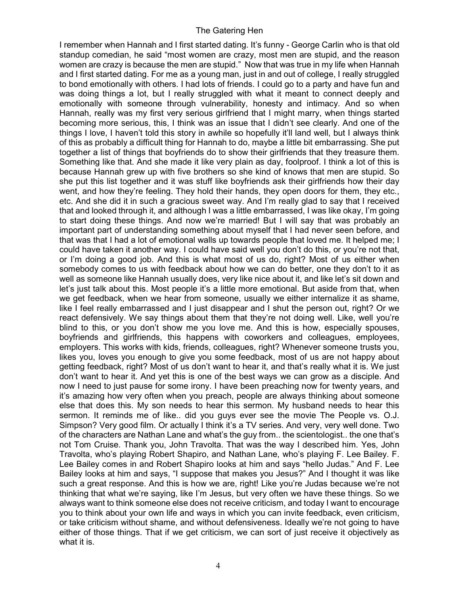I remember when Hannah and I first started dating. It's funny - George Carlin who is that old standup comedian, he said "most women are crazy, most men are stupid, and the reason women are crazy is because the men are stupid." Now that was true in my life when Hannah and I first started dating. For me as a young man, just in and out of college, I really struggled to bond emotionally with others. I had lots of friends. I could go to a party and have fun and was doing things a lot, but I really struggled with what it meant to connect deeply and emotionally with someone through vulnerability, honesty and intimacy. And so when Hannah, really was my first very serious girlfriend that I might marry, when things started becoming more serious, this, I think was an issue that I didn't see clearly. And one of the things I love, I haven't told this story in awhile so hopefully it'll land well, but I always think of this as probably a difficult thing for Hannah to do, maybe a little bit embarrassing. She put together a list of things that boyfriends do to show their girlfriends that they treasure them. Something like that. And she made it like very plain as day, foolproof. I think a lot of this is because Hannah grew up with five brothers so she kind of knows that men are stupid. So she put this list together and it was stuff like boyfriends ask their girlfriends how their day went, and how they're feeling. They hold their hands, they open doors for them, they etc., etc. And she did it in such a gracious sweet way. And I'm really glad to say that I received that and looked through it, and although I was a little embarrassed, I was like okay, I'm going to start doing these things. And now we're married! But I will say that was probably an important part of understanding something about myself that I had never seen before, and that was that I had a lot of emotional walls up towards people that loved me. It helped me; I could have taken it another way. I could have said well you don't do this, or you're not that, or I'm doing a good job. And this is what most of us do, right? Most of us either when somebody comes to us with feedback about how we can do better, one they don't to it as well as someone like Hannah usually does, very like nice about it, and like let's sit down and let's just talk about this. Most people it's a little more emotional. But aside from that, when we get feedback, when we hear from someone, usually we either internalize it as shame, like I feel really embarrassed and I just disappear and I shut the person out, right? Or we react defensively. We say things about them that they're not doing well. Like, well you're blind to this, or you don't show me you love me. And this is how, especially spouses, boyfriends and girlfriends, this happens with coworkers and colleagues, employees, employers. This works with kids, friends, colleagues, right? Whenever someone trusts you, likes you, loves you enough to give you some feedback, most of us are not happy about getting feedback, right? Most of us don't want to hear it, and that's really what it is. We just don't want to hear it. And yet this is one of the best ways we can grow as a disciple. And now I need to just pause for some irony. I have been preaching now for twenty years, and it's amazing how very often when you preach, people are always thinking about someone else that does this. My son needs to hear this sermon. My husband needs to hear this sermon. It reminds me of like.. did you guys ever see the movie The People vs. O.J. Simpson? Very good film. Or actually I think it's a TV series. And very, very well done. Two of the characters are Nathan Lane and what's the guy from.. the scientologist.. the one that's not Tom Cruise. Thank you, John Travolta. That was the way I described him. Yes, John Travolta, who's playing Robert Shapiro, and Nathan Lane, who's playing F. Lee Bailey. F. Lee Bailey comes in and Robert Shapiro looks at him and says "hello Judas." And F. Lee Bailey looks at him and says, "I suppose that makes you Jesus?" And I thought it was like such a great response. And this is how we are, right! Like you're Judas because we're not thinking that what we're saying, like I'm Jesus, but very often we have these things. So we always want to think someone else does not receive criticism, and today I want to encourage you to think about your own life and ways in which you can invite feedback, even criticism, or take criticism without shame, and without defensiveness. Ideally we're not going to have either of those things. That if we get criticism, we can sort of just receive it objectively as what it is.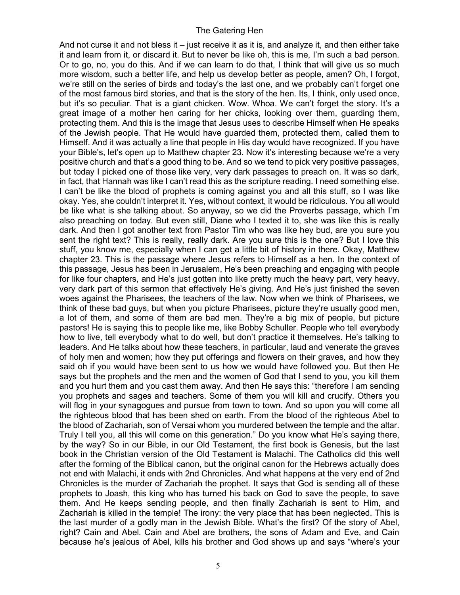And not curse it and not bless it – just receive it as it is, and analyze it, and then either take it and learn from it, or discard it. But to never be like oh, this is me, I'm such a bad person. Or to go, no, you do this. And if we can learn to do that, I think that will give us so much more wisdom, such a better life, and help us develop better as people, amen? Oh, I forgot, we're still on the series of birds and today's the last one, and we probably can't forget one of the most famous bird stories, and that is the story of the hen. Its, I think, only used once, but it's so peculiar. That is a giant chicken. Wow. Whoa. We can't forget the story. It's a great image of a mother hen caring for her chicks, looking over them, guarding them, protecting them. And this is the image that Jesus uses to describe Himself when He speaks of the Jewish people. That He would have guarded them, protected them, called them to Himself. And it was actually a line that people in His day would have recognized. If you have your Bible's, let's open up to Matthew chapter 23. Now it's interesting because we're a very positive church and that's a good thing to be. And so we tend to pick very positive passages, but today I picked one of those like very, very dark passages to preach on. It was so dark, in fact, that Hannah was like I can't read this as the scripture reading. I need something else. I can't be like the blood of prophets is coming against you and all this stuff, so I was like okay. Yes, she couldn't interpret it. Yes, without context, it would be ridiculous. You all would be like what is she talking about. So anyway, so we did the Proverbs passage, which I'm also preaching on today. But even still, Diane who I texted it to, she was like this is really dark. And then I got another text from Pastor Tim who was like hey bud, are you sure you sent the right text? This is really, really dark. Are you sure this is the one? But I love this stuff, you know me, especially when I can get a little bit of history in there. Okay, Matthew chapter 23. This is the passage where Jesus refers to Himself as a hen. In the context of this passage, Jesus has been in Jerusalem, He's been preaching and engaging with people for like four chapters, and He's just gotten into like pretty much the heavy part, very heavy, very dark part of this sermon that effectively He's giving. And He's just finished the seven woes against the Pharisees, the teachers of the law. Now when we think of Pharisees, we think of these bad guys, but when you picture Pharisees, picture they're usually good men, a lot of them, and some of them are bad men. They're a big mix of people, but picture pastors! He is saying this to people like me, like Bobby Schuller. People who tell everybody how to live, tell everybody what to do well, but don't practice it themselves. He's talking to leaders. And He talks about how these teachers, in particular, laud and venerate the graves of holy men and women; how they put offerings and flowers on their graves, and how they said oh if you would have been sent to us how we would have followed you. But then He says but the prophets and the men and the women of God that I send to you, you kill them and you hurt them and you cast them away. And then He says this: "therefore I am sending you prophets and sages and teachers. Some of them you will kill and crucify. Others you will flog in your synagogues and pursue from town to town. And so upon you will come all the righteous blood that has been shed on earth. From the blood of the righteous Abel to the blood of Zachariah, son of Versai whom you murdered between the temple and the altar. Truly I tell you, all this will come on this generation." Do you know what He's saying there, by the way? So in our Bible, in our Old Testament, the first book is Genesis, but the last book in the Christian version of the Old Testament is Malachi. The Catholics did this well after the forming of the Biblical canon, but the original canon for the Hebrews actually does not end with Malachi, it ends with 2nd Chronicles. And what happens at the very end of 2nd Chronicles is the murder of Zachariah the prophet. It says that God is sending all of these prophets to Joash, this king who has turned his back on God to save the people, to save them. And He keeps sending people, and then finally Zachariah is sent to Him, and Zachariah is killed in the temple! The irony: the very place that has been neglected. This is the last murder of a godly man in the Jewish Bible. What's the first? Of the story of Abel, right? Cain and Abel. Cain and Abel are brothers, the sons of Adam and Eve, and Cain because he's jealous of Abel, kills his brother and God shows up and says "where's your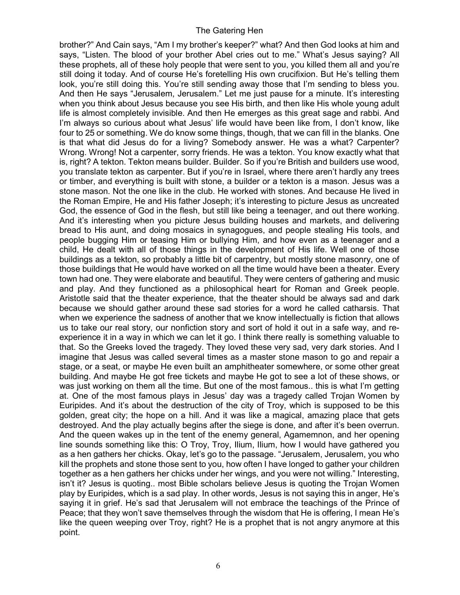brother?" And Cain says, "Am I my brother's keeper?" what? And then God looks at him and says, "Listen. The blood of your brother Abel cries out to me." What's Jesus saying? All these prophets, all of these holy people that were sent to you, you killed them all and you're still doing it today. And of course He's foretelling His own crucifixion. But He's telling them look, you're still doing this. You're still sending away those that I'm sending to bless you. And then He says "Jerusalem, Jerusalem." Let me just pause for a minute. It's interesting when you think about Jesus because you see His birth, and then like His whole young adult life is almost completely invisible. And then He emerges as this great sage and rabbi. And I'm always so curious about what Jesus' life would have been like from, I don't know, like four to 25 or something. We do know some things, though, that we can fill in the blanks. One is that what did Jesus do for a living? Somebody answer. He was a what? Carpenter? Wrong. Wrong! Not a carpenter, sorry friends. He was a tekton. You know exactly what that is, right? A tekton. Tekton means builder. Builder. So if you're British and builders use wood, you translate tekton as carpenter. But if you're in Israel, where there aren't hardly any trees or timber, and everything is built with stone, a builder or a tekton is a mason. Jesus was a stone mason. Not the one like in the club. He worked with stones. And because He lived in the Roman Empire, He and His father Joseph; it's interesting to picture Jesus as uncreated God, the essence of God in the flesh, but still like being a teenager, and out there working. And it's interesting when you picture Jesus building houses and markets, and delivering bread to His aunt, and doing mosaics in synagogues, and people stealing His tools, and people bugging Him or teasing Him or bullying Him, and how even as a teenager and a child, He dealt with all of those things in the development of His life. Well one of those buildings as a tekton, so probably a little bit of carpentry, but mostly stone masonry, one of those buildings that He would have worked on all the time would have been a theater. Every town had one. They were elaborate and beautiful. They were centers of gathering and music and play. And they functioned as a philosophical heart for Roman and Greek people. Aristotle said that the theater experience, that the theater should be always sad and dark because we should gather around these sad stories for a word he called catharsis. That when we experience the sadness of another that we know intellectually is fiction that allows us to take our real story, our nonfiction story and sort of hold it out in a safe way, and reexperience it in a way in which we can let it go. I think there really is something valuable to that. So the Greeks loved the tragedy. They loved these very sad, very dark stories. And I imagine that Jesus was called several times as a master stone mason to go and repair a stage, or a seat, or maybe He even built an amphitheater somewhere, or some other great building. And maybe He got free tickets and maybe He got to see a lot of these shows, or was just working on them all the time. But one of the most famous.. this is what I'm getting at. One of the most famous plays in Jesus' day was a tragedy called Trojan Women by Euripides. And it's about the destruction of the city of Troy, which is supposed to be this golden, great city; the hope on a hill. And it was like a magical, amazing place that gets destroyed. And the play actually begins after the siege is done, and after it's been overrun. And the queen wakes up in the tent of the enemy general, Agamemnon, and her opening line sounds something like this: O Troy, Troy, Ilium, Ilium, how I would have gathered you as a hen gathers her chicks. Okay, let's go to the passage. "Jerusalem, Jerusalem, you who kill the prophets and stone those sent to you, how often I have longed to gather your children together as a hen gathers her chicks under her wings, and you were not willing." Interesting, isn't it? Jesus is quoting.. most Bible scholars believe Jesus is quoting the Trojan Women play by Euripides, which is a sad play. In other words, Jesus is not saying this in anger, He's saying it in grief. He's sad that Jerusalem will not embrace the teachings of the Prince of Peace; that they won't save themselves through the wisdom that He is offering, I mean He's like the queen weeping over Troy, right? He is a prophet that is not angry anymore at this point.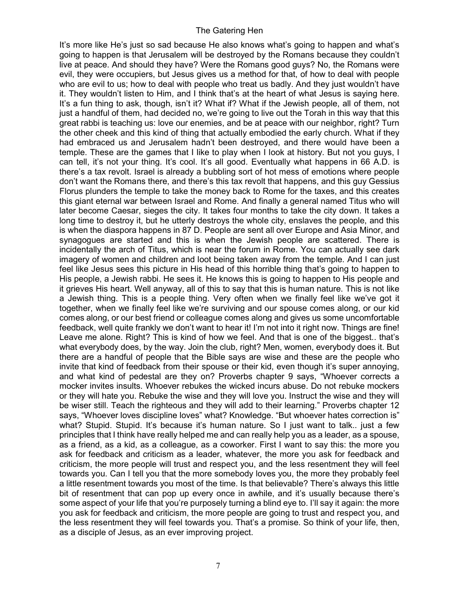It's more like He's just so sad because He also knows what's going to happen and what's going to happen is that Jerusalem will be destroyed by the Romans because they couldn't live at peace. And should they have? Were the Romans good guys? No, the Romans were evil, they were occupiers, but Jesus gives us a method for that, of how to deal with people who are evil to us; how to deal with people who treat us badly. And they just wouldn't have it. They wouldn't listen to Him, and I think that's at the heart of what Jesus is saying here. It's a fun thing to ask, though, isn't it? What if? What if the Jewish people, all of them, not just a handful of them, had decided no, we're going to live out the Torah in this way that this great rabbi is teaching us: love our enemies, and be at peace with our neighbor, right? Turn the other cheek and this kind of thing that actually embodied the early church. What if they had embraced us and Jerusalem hadn't been destroyed, and there would have been a temple. These are the games that I like to play when I look at history. But not you guys, I can tell, it's not your thing. It's cool. It's all good. Eventually what happens in 66 A.D. is there's a tax revolt. Israel is already a bubbling sort of hot mess of emotions where people don't want the Romans there, and there's this tax revolt that happens, and this guy Gessius Florus plunders the temple to take the money back to Rome for the taxes, and this creates this giant eternal war between Israel and Rome. And finally a general named Titus who will later become Caesar, sieges the city. It takes four months to take the city down. It takes a long time to destroy it, but he utterly destroys the whole city, enslaves the people, and this is when the diaspora happens in 87 D. People are sent all over Europe and Asia Minor, and synagogues are started and this is when the Jewish people are scattered. There is incidentally the arch of Titus, which is near the forum in Rome. You can actually see dark imagery of women and children and loot being taken away from the temple. And I can just feel like Jesus sees this picture in His head of this horrible thing that's going to happen to His people, a Jewish rabbi. He sees it. He knows this is going to happen to His people and it grieves His heart. Well anyway, all of this to say that this is human nature. This is not like a Jewish thing. This is a people thing. Very often when we finally feel like we've got it together, when we finally feel like we're surviving and our spouse comes along, or our kid comes along, or our best friend or colleague comes along and gives us some uncomfortable feedback, well quite frankly we don't want to hear it! I'm not into it right now. Things are fine! Leave me alone. Right? This is kind of how we feel. And that is one of the biggest.. that's what everybody does, by the way. Join the club, right? Men, women, everybody does it. But there are a handful of people that the Bible says are wise and these are the people who invite that kind of feedback from their spouse or their kid, even though it's super annoying, and what kind of pedestal are they on? Proverbs chapter 9 says, "Whoever corrects a mocker invites insults. Whoever rebukes the wicked incurs abuse. Do not rebuke mockers or they will hate you. Rebuke the wise and they will love you. Instruct the wise and they will be wiser still. Teach the righteous and they will add to their learning." Proverbs chapter 12 says, "Whoever loves discipline loves" what? Knowledge. "But whoever hates correction is" what? Stupid. Stupid. It's because it's human nature. So I just want to talk.. just a few principles that I think have really helped me and can really help you as a leader, as a spouse, as a friend, as a kid, as a colleague, as a coworker. First I want to say this: the more you ask for feedback and criticism as a leader, whatever, the more you ask for feedback and criticism, the more people will trust and respect you, and the less resentment they will feel towards you. Can I tell you that the more somebody loves you, the more they probably feel a little resentment towards you most of the time. Is that believable? There's always this little bit of resentment that can pop up every once in awhile, and it's usually because there's some aspect of your life that you're purposely turning a blind eye to. I'll say it again: the more you ask for feedback and criticism, the more people are going to trust and respect you, and the less resentment they will feel towards you. That's a promise. So think of your life, then, as a disciple of Jesus, as an ever improving project.